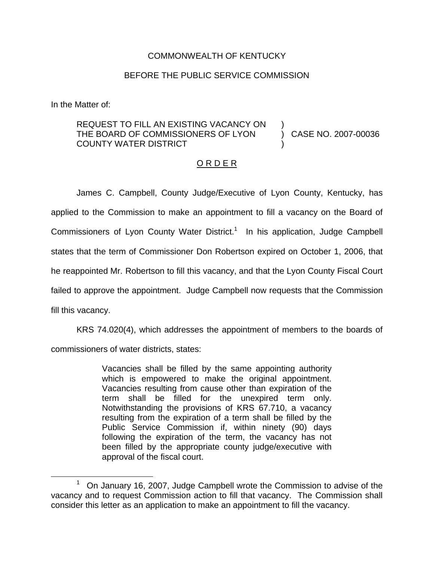# COMMONWEALTH OF KENTUCKY

## BEFORE THE PUBLIC SERVICE COMMISSION

In the Matter of:

#### REQUEST TO FILL AN EXISTING VACANCY ON THE BOARD OF COMMISSIONERS OF LYON COUNTY WATER DISTRICT ) )

) CASE NO. 2007-00036

# O R D E R

James C. Campbell, County Judge/Executive of Lyon County, Kentucky, has applied to the Commission to make an appointment to fill a vacancy on the Board of Commissioners of Lyon County Water District.<sup>1</sup> In his application, Judge Campbell states that the term of Commissioner Don Robertson expired on October 1, 2006, that he reappointed Mr. Robertson to fill this vacancy, and that the Lyon County Fiscal Court failed to approve the appointment. Judge Campbell now requests that the Commission fill this vacancy.

KRS 74.020(4), which addresses the appointment of members to the boards of

commissioners of water districts, states:

Vacancies shall be filled by the same appointing authority which is empowered to make the original appointment. Vacancies resulting from cause other than expiration of the term shall be filled for the unexpired term only. Notwithstanding the provisions of KRS 67.710, a vacancy resulting from the expiration of a term shall be filled by the Public Service Commission if, within ninety (90) days following the expiration of the term, the vacancy has not been filled by the appropriate county judge/executive with approval of the fiscal court.

<sup>1</sup> On January 16, 2007, Judge Campbell wrote the Commission to advise of the vacancy and to request Commission action to fill that vacancy. The Commission shall consider this letter as an application to make an appointment to fill the vacancy.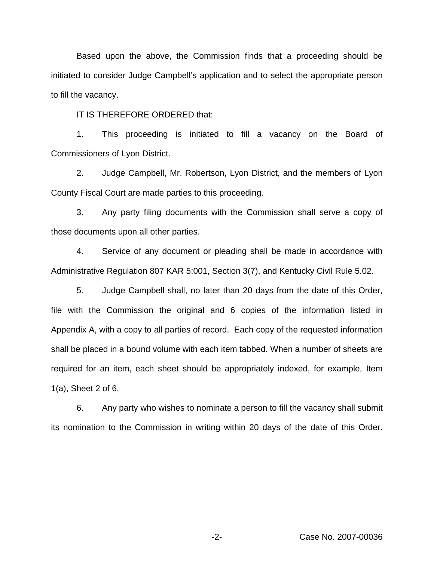Based upon the above, the Commission finds that a proceeding should be initiated to consider Judge Campbell's application and to select the appropriate person to fill the vacancy.

IT IS THEREFORE ORDERED that:

1. This proceeding is initiated to fill a vacancy on the Board of Commissioners of Lyon District.

2. Judge Campbell, Mr. Robertson, Lyon District, and the members of Lyon County Fiscal Court are made parties to this proceeding.

3. Any party filing documents with the Commission shall serve a copy of those documents upon all other parties.

4. Service of any document or pleading shall be made in accordance with Administrative Regulation 807 KAR 5:001, Section 3(7), and Kentucky Civil Rule 5.02.

5. Judge Campbell shall, no later than 20 days from the date of this Order, file with the Commission the original and 6 copies of the information listed in Appendix A, with a copy to all parties of record. Each copy of the requested information shall be placed in a bound volume with each item tabbed. When a number of sheets are required for an item, each sheet should be appropriately indexed, for example, Item 1(a), Sheet 2 of 6.

6. Any party who wishes to nominate a person to fill the vacancy shall submit its nomination to the Commission in writing within 20 days of the date of this Order.

-2- Case No. 2007-00036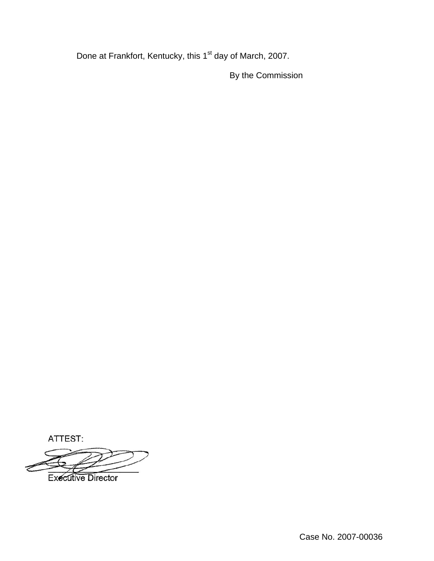Done at Frankfort, Kentucky, this 1<sup>st</sup> day of March, 2007.

By the Commission

ATTEST:

**Executive Director**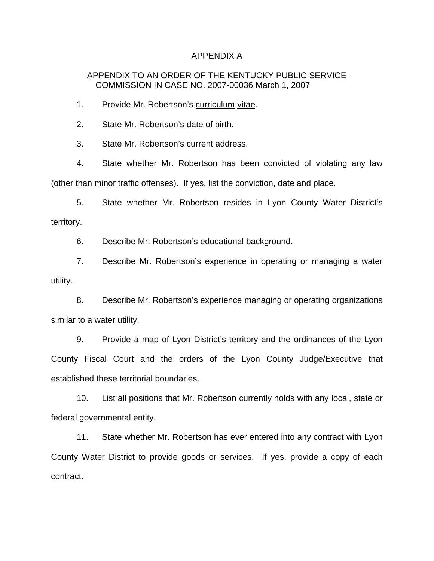### APPENDIX A

# APPENDIX TO AN ORDER OF THE KENTUCKY PUBLIC SERVICE COMMISSION IN CASE NO. 2007-00036 March 1, 2007

1. Provide Mr. Robertson's curriculum vitae.

2. State Mr. Robertson's date of birth.

3. State Mr. Robertson's current address.

4. State whether Mr. Robertson has been convicted of violating any law (other than minor traffic offenses). If yes, list the conviction, date and place.

5. State whether Mr. Robertson resides in Lyon County Water District's territory.

6. Describe Mr. Robertson's educational background.

7. Describe Mr. Robertson's experience in operating or managing a water utility.

8. Describe Mr. Robertson's experience managing or operating organizations similar to a water utility.

9. Provide a map of Lyon District's territory and the ordinances of the Lyon County Fiscal Court and the orders of the Lyon County Judge/Executive that established these territorial boundaries.

10. List all positions that Mr. Robertson currently holds with any local, state or federal governmental entity.

11. State whether Mr. Robertson has ever entered into any contract with Lyon County Water District to provide goods or services. If yes, provide a copy of each contract.